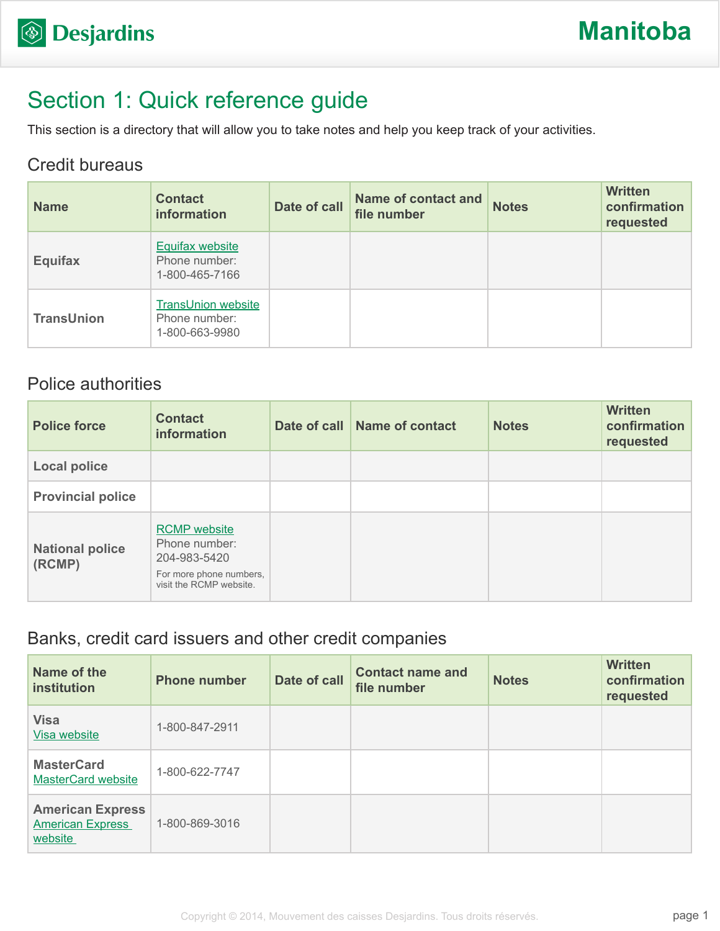## Section 1: Quick reference guide

This section is a directory that will allow you to take notes and help you keep track of your activities.

#### Credit bureaus

| <b>Name</b>       | <b>Contact</b><br>information                                | Date of call | <b>Name of contact and</b><br>file number | <b>Notes</b> | <b>Written</b><br>confirmation<br>requested |
|-------------------|--------------------------------------------------------------|--------------|-------------------------------------------|--------------|---------------------------------------------|
| <b>Equifax</b>    | <b>Equifax website</b><br>Phone number:<br>1-800-465-7166    |              |                                           |              |                                             |
| <b>TransUnion</b> | <b>TransUnion website</b><br>Phone number:<br>1-800-663-9980 |              |                                           |              |                                             |

#### Police authorities

| <b>Police force</b>              | <b>Contact</b><br><b>information</b>                                                                       | Date of call Name of contact | <b>Notes</b> | <b>Written</b><br>confirmation<br>requested |
|----------------------------------|------------------------------------------------------------------------------------------------------------|------------------------------|--------------|---------------------------------------------|
| <b>Local police</b>              |                                                                                                            |                              |              |                                             |
| <b>Provincial police</b>         |                                                                                                            |                              |              |                                             |
| <b>National police</b><br>(RCMP) | <b>RCMP</b> website<br>Phone number:<br>204-983-5420<br>For more phone numbers,<br>visit the RCMP website. |                              |              |                                             |

#### Banks, credit card issuers and other credit companies

| Name of the<br>institution                                    | <b>Phone number</b> | Date of call | <b>Contact name and</b><br>file number | <b>Notes</b> | <b>Written</b><br>confirmation<br>requested |
|---------------------------------------------------------------|---------------------|--------------|----------------------------------------|--------------|---------------------------------------------|
| <b>Visa</b><br>Visa website                                   | 1-800-847-2911      |              |                                        |              |                                             |
| <b>MasterCard</b><br><b>MasterCard website</b>                | 1-800-622-7747      |              |                                        |              |                                             |
| <b>American Express</b><br><b>American Express</b><br>website | 1-800-869-3016      |              |                                        |              |                                             |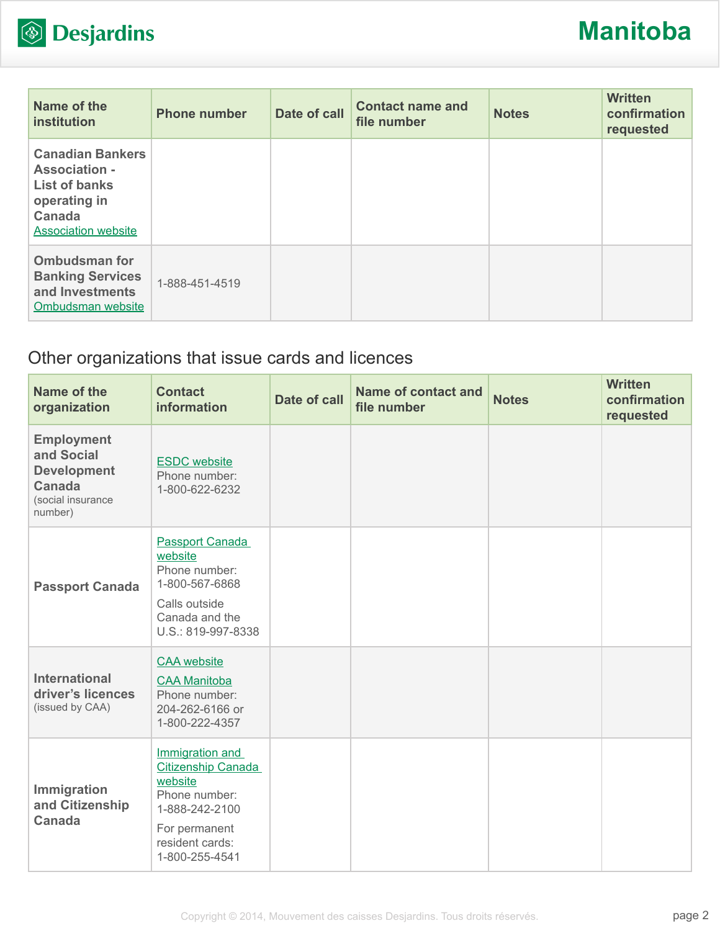

| Name of the<br>institution                                                                                                      | <b>Phone number</b> | Date of call | <b>Contact name and</b><br>file number | <b>Notes</b> | <b>Written</b><br>confirmation<br>requested |
|---------------------------------------------------------------------------------------------------------------------------------|---------------------|--------------|----------------------------------------|--------------|---------------------------------------------|
| <b>Canadian Bankers</b><br><b>Association -</b><br><b>List of banks</b><br>operating in<br>Canada<br><b>Association website</b> |                     |              |                                        |              |                                             |
| <b>Ombudsman for</b><br><b>Banking Services</b><br>and Investments<br>Ombudsman website                                         | 1-888-451-4519      |              |                                        |              |                                             |

### Other organizations that issue cards and licences

| Name of the<br>organization                                                                     | <b>Contact</b><br>information                                                                                                             | Date of call | <b>Name of contact and</b><br>file number | <b>Notes</b> | <b>Written</b><br>confirmation<br>requested |
|-------------------------------------------------------------------------------------------------|-------------------------------------------------------------------------------------------------------------------------------------------|--------------|-------------------------------------------|--------------|---------------------------------------------|
| <b>Employment</b><br>and Social<br><b>Development</b><br>Canada<br>(social insurance<br>number) | <b>ESDC</b> website<br>Phone number:<br>1-800-622-6232                                                                                    |              |                                           |              |                                             |
| <b>Passport Canada</b>                                                                          | Passport Canada<br>website<br>Phone number:<br>1-800-567-6868<br>Calls outside<br>Canada and the<br>U.S.: 819-997-8338                    |              |                                           |              |                                             |
| <b>International</b><br>driver's licences<br>(issued by CAA)                                    | <b>CAA</b> website<br><b>CAA Manitoba</b><br>Phone number:<br>204-262-6166 or<br>1-800-222-4357                                           |              |                                           |              |                                             |
| Immigration<br>and Citizenship<br><b>Canada</b>                                                 | Immigration and<br>Citizenship Canada<br>website<br>Phone number:<br>1-888-242-2100<br>For permanent<br>resident cards:<br>1-800-255-4541 |              |                                           |              |                                             |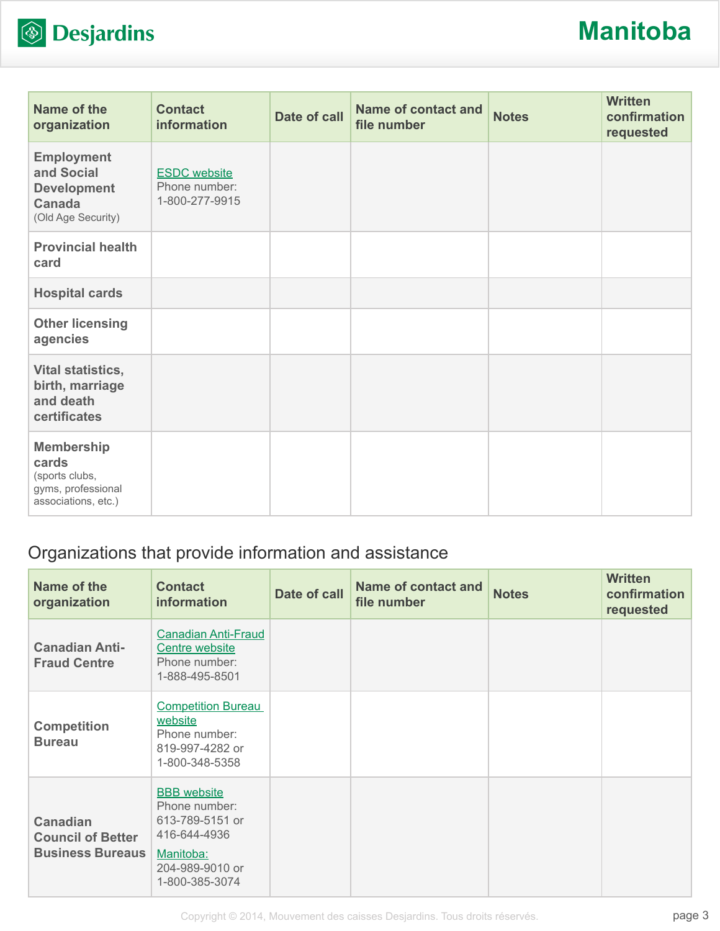

| Name of the<br>organization                                                               | <b>Contact</b><br>information                          | Date of call | <b>Name of contact and</b><br>file number | <b>Notes</b> | <b>Written</b><br>confirmation<br>requested |
|-------------------------------------------------------------------------------------------|--------------------------------------------------------|--------------|-------------------------------------------|--------------|---------------------------------------------|
| <b>Employment</b><br>and Social<br><b>Development</b><br>Canada<br>(Old Age Security)     | <b>ESDC</b> website<br>Phone number:<br>1-800-277-9915 |              |                                           |              |                                             |
| <b>Provincial health</b><br>card                                                          |                                                        |              |                                           |              |                                             |
| <b>Hospital cards</b>                                                                     |                                                        |              |                                           |              |                                             |
| <b>Other licensing</b><br>agencies                                                        |                                                        |              |                                           |              |                                             |
| Vital statistics,<br>birth, marriage<br>and death<br>certificates                         |                                                        |              |                                           |              |                                             |
| <b>Membership</b><br>cards<br>(sports clubs,<br>gyms, professional<br>associations, etc.) |                                                        |              |                                           |              |                                             |

### Organizations that provide information and assistance

| Name of the<br>organization                  | <b>Contact</b><br><b>information</b>                                                       | Date of call | <b>Name of contact and</b><br>file number | <b>Notes</b> | <b>Written</b><br>confirmation<br>requested |
|----------------------------------------------|--------------------------------------------------------------------------------------------|--------------|-------------------------------------------|--------------|---------------------------------------------|
| <b>Canadian Anti-</b><br><b>Fraud Centre</b> | <b>Canadian Anti-Fraud</b><br>Centre website<br>Phone number:<br>1-888-495-8501            |              |                                           |              |                                             |
| <b>Competition</b><br><b>Bureau</b>          | <b>Competition Bureau</b><br>website<br>Phone number:<br>819-997-4282 or<br>1-800-348-5358 |              |                                           |              |                                             |
| <b>Canadian</b><br><b>Council of Better</b>  | <b>BBB</b> website<br>Phone number:<br>613-789-5151 or<br>416-644-4936<br>Manitoba:        |              |                                           |              |                                             |
| <b>Business Bureaus</b>                      | 204-989-9010 or<br>1-800-385-3074                                                          |              |                                           |              |                                             |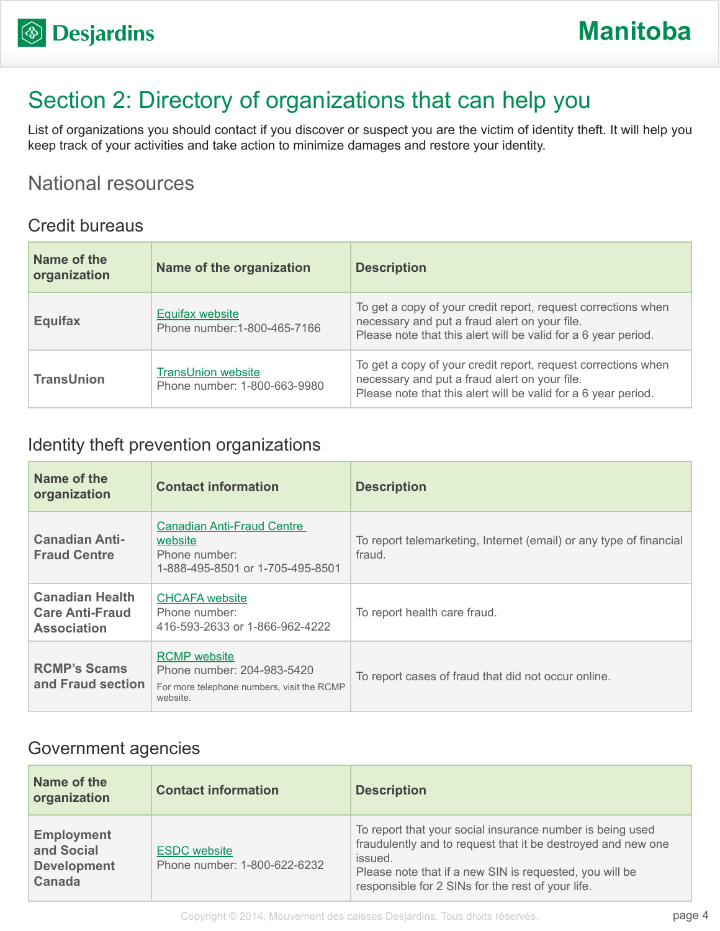## Section 2: Directory of organizations that can help you

List of organizations you should contact if you discover or suspect you are the victim of identity theft. It will help you keep track of your activities and take action to minimize damages and restore your identity.

### National resources

#### Credit bureaus

| Name of the<br>organization | Name of the organization                                  | <b>Description</b>                                                                                                                                                               |
|-----------------------------|-----------------------------------------------------------|----------------------------------------------------------------------------------------------------------------------------------------------------------------------------------|
| Equifax                     | Equifax website<br>Phone number: 1-800-465-7166           | To get a copy of your credit report, request corrections when<br>necessary and put a fraud alert on your file.<br>Please note that this alert will be valid for a 6 year period. |
| <b>TransUnion</b>           | <b>TransUnion website</b><br>Phone number: 1-800-663-9980 | To get a copy of your credit report, request corrections when<br>necessary and put a fraud alert on your file.<br>Please note that this alert will be valid for a 6 year period. |

#### Identity theft prevention organizations

| Name of the<br>organization                                            | <b>Contact information</b>                                                                                  | <b>Description</b>                                                           |
|------------------------------------------------------------------------|-------------------------------------------------------------------------------------------------------------|------------------------------------------------------------------------------|
| <b>Canadian Anti-</b><br><b>Fraud Centre</b>                           | <b>Canadian Anti-Fraud Centre</b><br>website<br>Phone number:<br>1-888-495-8501 or 1-705-495-8501           | To report telemarketing, Internet (email) or any type of financial<br>fraud. |
| <b>Canadian Health</b><br><b>Care Anti-Fraud</b><br><b>Association</b> | <b>CHCAFA</b> website<br>Phone number:<br>416-593-2633 or 1-866-962-4222                                    | To report health care fraud.                                                 |
| <b>RCMP's Scams</b><br>and Fraud section                               | <b>RCMP</b> website<br>Phone number: 204-983-5420<br>For more telephone numbers, visit the RCMP<br>website. | To report cases of fraud that did not occur online.                          |

#### Government agencies

| Name of the<br>organization                                     | <b>Contact information</b>                          | <b>Description</b>                                                                                                                                                                                                                                   |
|-----------------------------------------------------------------|-----------------------------------------------------|------------------------------------------------------------------------------------------------------------------------------------------------------------------------------------------------------------------------------------------------------|
| <b>Employment</b><br>and Social<br><b>Development</b><br>Canada | <b>ESDC</b> website<br>Phone number: 1-800-622-6232 | To report that your social insurance number is being used<br>fraudulently and to request that it be destroyed and new one<br>issued.<br>Please note that if a new SIN is requested, you will be<br>responsible for 2 SINs for the rest of your life. |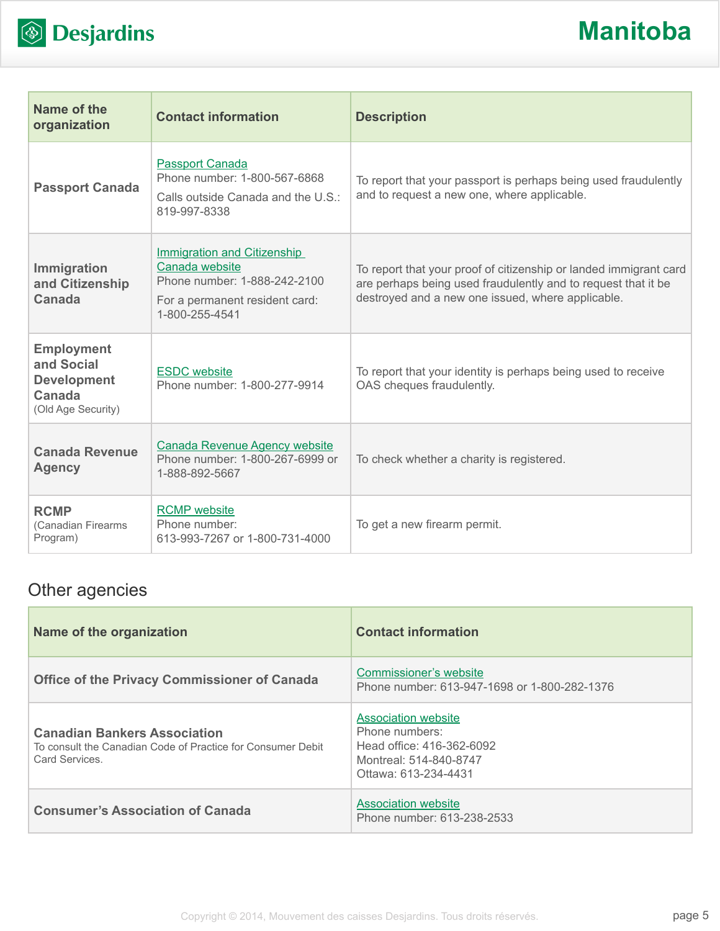

# **Manitoba**

| Name of the<br>organization                                                           | <b>Contact information</b>                                                                                                        | <b>Description</b>                                                                                                                                                                      |
|---------------------------------------------------------------------------------------|-----------------------------------------------------------------------------------------------------------------------------------|-----------------------------------------------------------------------------------------------------------------------------------------------------------------------------------------|
| <b>Passport Canada</b>                                                                | <b>Passport Canada</b><br>Phone number: 1-800-567-6868<br>Calls outside Canada and the U.S.:<br>819-997-8338                      | To report that your passport is perhaps being used fraudulently<br>and to request a new one, where applicable.                                                                          |
| Immigration<br>and Citizenship<br><b>Canada</b>                                       | Immigration and Citizenship<br>Canada website<br>Phone number: 1-888-242-2100<br>For a permanent resident card:<br>1-800-255-4541 | To report that your proof of citizenship or landed immigrant card<br>are perhaps being used fraudulently and to request that it be<br>destroyed and a new one issued, where applicable. |
| <b>Employment</b><br>and Social<br><b>Development</b><br>Canada<br>(Old Age Security) | <b>ESDC</b> website<br>Phone number: 1-800-277-9914                                                                               | To report that your identity is perhaps being used to receive<br>OAS cheques fraudulently.                                                                                              |
| <b>Canada Revenue</b><br><b>Agency</b>                                                | <b>Canada Revenue Agency website</b><br>Phone number: 1-800-267-6999 or<br>1-888-892-5667                                         | To check whether a charity is registered.                                                                                                                                               |
| <b>RCMP</b><br>(Canadian Firearms<br>Program)                                         | <b>RCMP</b> website<br>Phone number:<br>613-993-7267 or 1-800-731-4000                                                            | To get a new firearm permit.                                                                                                                                                            |

## Other agencies

| Name of the organization                                                                                             | <b>Contact information</b>                                                                                                  |
|----------------------------------------------------------------------------------------------------------------------|-----------------------------------------------------------------------------------------------------------------------------|
| <b>Office of the Privacy Commissioner of Canada</b>                                                                  | Commissioner's website<br>Phone number: 613-947-1698 or 1-800-282-1376                                                      |
| <b>Canadian Bankers Association</b><br>To consult the Canadian Code of Practice for Consumer Debit<br>Card Services. | <b>Association website</b><br>Phone numbers:<br>Head office: 416-362-6092<br>Montreal: 514-840-8747<br>Ottawa: 613-234-4431 |
| <b>Consumer's Association of Canada</b>                                                                              | <b>Association website</b><br>Phone number: 613-238-2533                                                                    |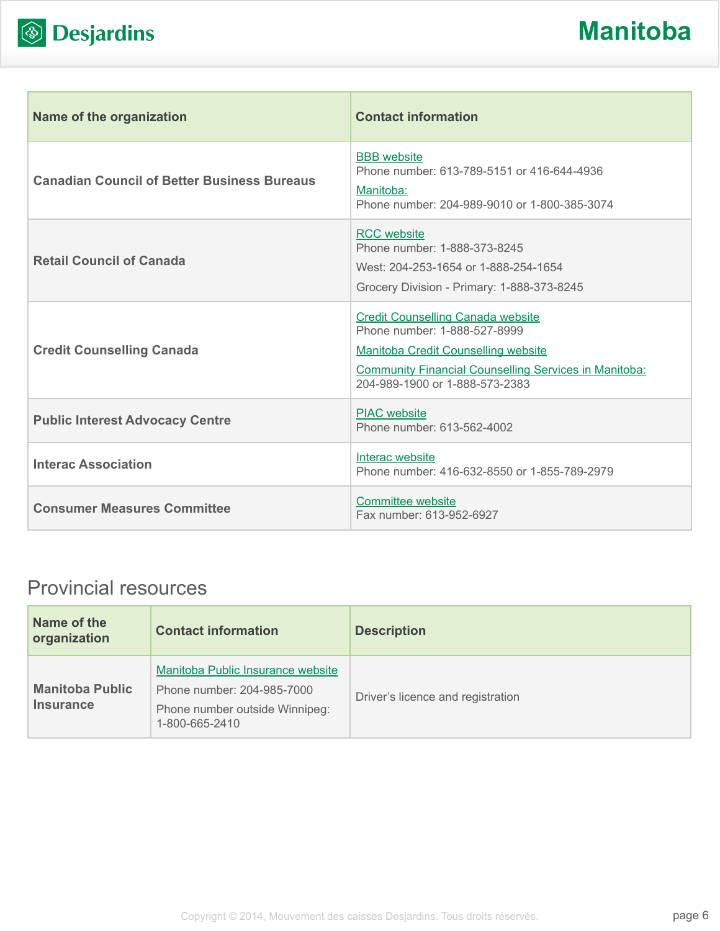

| <b>Name of the organization</b>                    | <b>Contact information</b>                                                                                                                                                                                        |
|----------------------------------------------------|-------------------------------------------------------------------------------------------------------------------------------------------------------------------------------------------------------------------|
| <b>Canadian Council of Better Business Bureaus</b> | <b>BBB</b> website<br>Phone number: 613-789-5151 or 416-644-4936<br>Manitoba:<br>Phone number: 204-989-9010 or 1-800-385-3074                                                                                     |
| <b>Retail Council of Canada</b>                    | <b>RCC</b> website<br>Phone number: 1-888-373-8245<br>West: 204-253-1654 or 1-888-254-1654<br>Grocery Division - Primary: 1-888-373-8245                                                                          |
| <b>Credit Counselling Canada</b>                   | <b>Credit Counselling Canada website</b><br>Phone number: 1-888-527-8999<br>Manitoba Credit Counselling website<br><b>Community Financial Counselling Services in Manitoba:</b><br>204-989-1900 or 1-888-573-2383 |
| <b>Public Interest Advocacy Centre</b>             | <b>PIAC</b> website<br>Phone number: 613-562-4002                                                                                                                                                                 |
| <b>Interac Association</b>                         | Interac website<br>Phone number: 416-632-8550 or 1-855-789-2979                                                                                                                                                   |
| <b>Consumer Measures Committee</b>                 | <b>Committee website</b><br>Fax number: 613-952-6927                                                                                                                                                              |

### Provincial resources

| Name of the<br>organization                | <b>Contact information</b>                                                                                          | <b>Description</b>                |
|--------------------------------------------|---------------------------------------------------------------------------------------------------------------------|-----------------------------------|
| <b>Manitoba Public</b><br><b>Insurance</b> | Manitoba Public Insurance website<br>Phone number: 204-985-7000<br>Phone number outside Winnipeg:<br>1-800-665-2410 | Driver's licence and registration |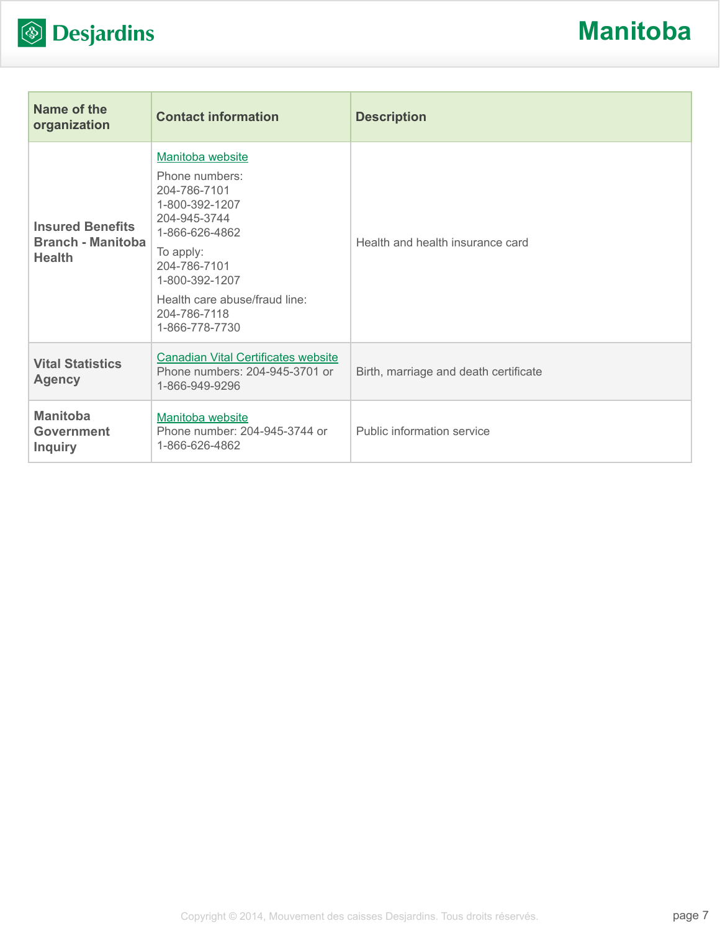

| Name of the<br>organization                                          | <b>Contact information</b>                                                                                                                                                                                               | <b>Description</b>                    |
|----------------------------------------------------------------------|--------------------------------------------------------------------------------------------------------------------------------------------------------------------------------------------------------------------------|---------------------------------------|
| <b>Insured Benefits</b><br><b>Branch - Manitoba</b><br><b>Health</b> | Manitoba website<br>Phone numbers:<br>204-786-7101<br>1-800-392-1207<br>204-945-3744<br>1-866-626-4862<br>To apply:<br>204-786-7101<br>1-800-392-1207<br>Health care abuse/fraud line:<br>204-786-7118<br>1-866-778-7730 | Health and health insurance card      |
| <b>Vital Statistics</b><br><b>Agency</b>                             | <b>Canadian Vital Certificates website</b><br>Phone numbers: 204-945-3701 or<br>1-866-949-9296                                                                                                                           | Birth, marriage and death certificate |
| <b>Manitoba</b><br>Government<br><b>Inquiry</b>                      | Manitoba website<br>Phone number: 204-945-3744 or<br>1-866-626-4862                                                                                                                                                      | Public information service            |